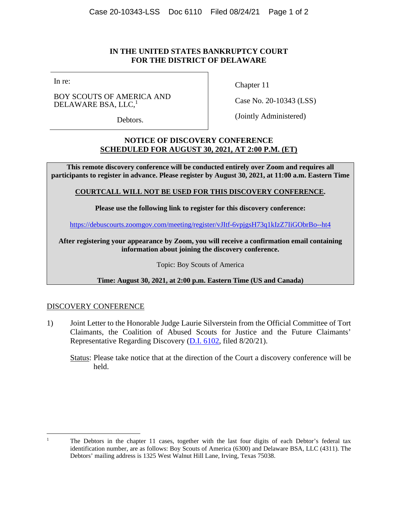## **IN THE UNITED STATES BANKRUPTCY COURT FOR THE DISTRICT OF DELAWARE**

In re:

BOY SCOUTS OF AMERICA AND DELAWARE BSA, LLC,<sup>1</sup>

Debtors.

Chapter 11

Case No. 20-10343 (LSS)

(Jointly Administered)

# **NOTICE OF DISCOVERY CONFERENCE SCHEDULED FOR AUGUST 30, 2021, AT 2:00 P.M. (ET)**

**This remote discovery conference will be conducted entirely over Zoom and requires all participants to register in advance. Please register by August 30, 2021, at 11:00 a.m. Eastern Time** 

### **COURTCALL WILL NOT BE USED FOR THIS DISCOVERY CONFERENCE.**

**Please use the following link to register for this discovery conference:** 

https://debuscourts.zoomgov.com/meeting/register/vJItf-6vpjgsH73q1kIzZ7IiGObrBo--ht4

**After registering your appearance by Zoom, you will receive a confirmation email containing information about joining the discovery conference.** 

Topic: Boy Scouts of America

### **Time: August 30, 2021, at 2:00 p.m. Eastern Time (US and Canada)**

## DISCOVERY CONFERENCE

1) Joint Letter to the Honorable Judge Laurie Silverstein from the Official Committee of Tort Claimants, the Coalition of Abused Scouts for Justice and the Future Claimants' Representative Regarding Discovery (D.I. 6102, filed 8/20/21).

Status: Please take notice that at the direction of the Court a discovery conference will be held.

<sup>&</sup>lt;sup>1</sup> The Debtors in the chapter 11 cases, together with the last four digits of each Debtor's federal tax identification number, are as follows: Boy Scouts of America (6300) and Delaware BSA, LLC (4311). The Debtors' mailing address is 1325 West Walnut Hill Lane, Irving, Texas 75038.